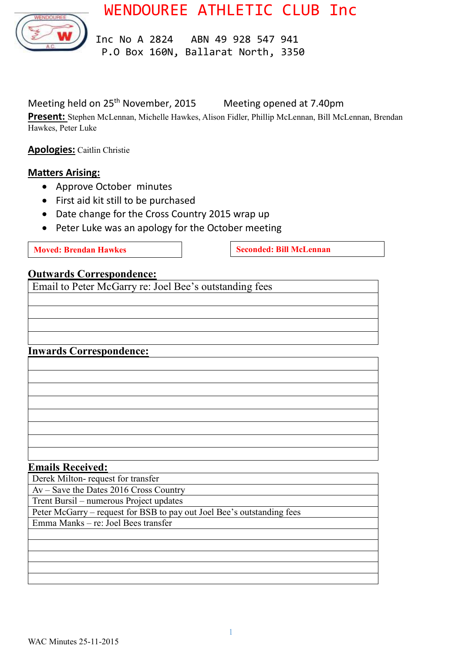WENDOUREE ATHLETIC CLUB Inc



 Inc No A 2824 ABN 49 928 547 941 P.O Box 160N, Ballarat North, 3350

Meeting held on 25<sup>th</sup> November, 2015 Meeting opened at 7.40pm

**Present:** Stephen McLennan, Michelle Hawkes, Alison Fidler, Phillip McLennan, Bill McLennan, Brendan Hawkes, Peter Luke

**Apologies:** Caitlin Christie

#### **Matters Arising:**

- Approve October minutes
- First aid kit still to be purchased
- Date change for the Cross Country 2015 wrap up
- Peter Luke was an apology for the October meeting

**Moved: Brendan Hawkes Seconded: Bill McLennan** 

#### **Outwards Correspondence:**

Email to Peter McGarry re: Joel Bee's outstanding fees

#### **Inwards Correspondence:**

| <u> 1999 - Jan James James Barnett, fransk politik (d. 1989)</u>                                                       |  |                                                                                                                      |
|------------------------------------------------------------------------------------------------------------------------|--|----------------------------------------------------------------------------------------------------------------------|
|                                                                                                                        |  | <u> 1989 - Andrea San Andrea San Andrea San Andrea San Andrea San Andrea San Andrea San Andrea San Andrea San An</u> |
|                                                                                                                        |  | <u> 1990 - Jan Salaman Salaman (j. 1980)</u>                                                                         |
|                                                                                                                        |  |                                                                                                                      |
| <u> 1989 - Johann Stoff, deutscher Stoffen und der Stoffen und der Stoffen und der Stoffen und der Stoffen und der</u> |  |                                                                                                                      |
| <u> 1989 - Johann John Stone, meilicher Stone und der Stone und der Stone und der Stone und der Stone und der Sto</u>  |  |                                                                                                                      |
| <u> 1989 - Johann Barbara, martxa alemaniar a</u>                                                                      |  |                                                                                                                      |
| <u> 1989 - Andrea Andrew Maria (h. 1989).</u>                                                                          |  |                                                                                                                      |
|                                                                                                                        |  |                                                                                                                      |

#### **Emails Received:**

Derek Milton- request for transfer

Av – Save the Dates 2016 Cross Country

Trent Bursil – numerous Project updates

Peter McGarry – request for BSB to pay out Joel Bee's outstanding fees

Emma Manks – re: Joel Bees transfer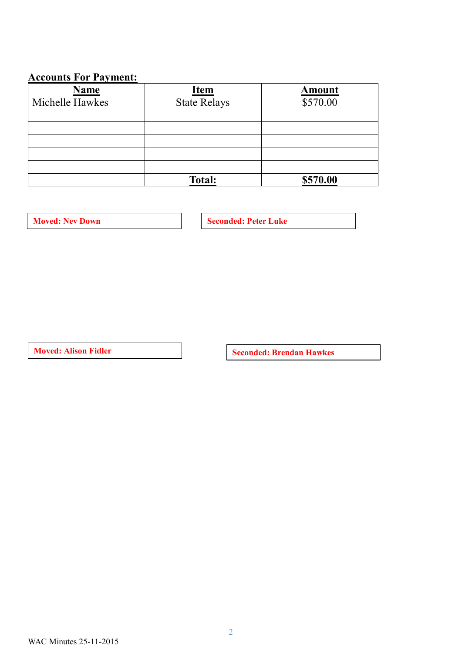# **Accounts For Payment:**

| <b>Name</b>     | <b>Item</b>         | <b>Amount</b> |
|-----------------|---------------------|---------------|
| Michelle Hawkes | <b>State Relays</b> | \$570.00      |
|                 |                     |               |
|                 |                     |               |
|                 |                     |               |
|                 |                     |               |
|                 |                     |               |
|                 | <b>Total:</b>       | \$570.00      |

**Moved:** Nev Down **Seconded: Peter Luke** 

**Moved:** Alison Fidler **Seconded:** Brendan Hawkes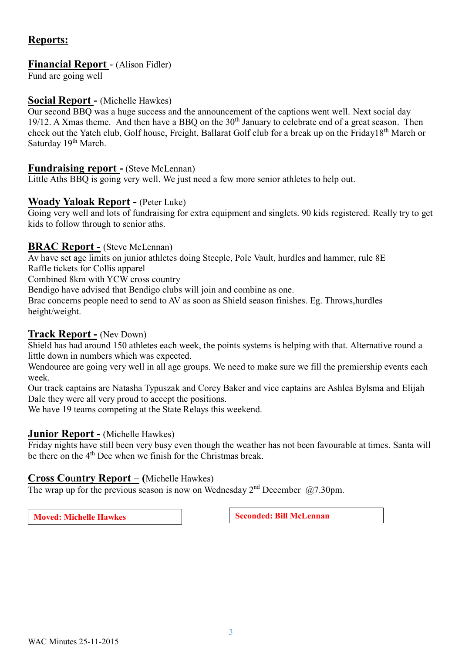### **Reports:**

#### **Financial Report** - (Alison Fidler)

Fund are going well

#### **Social Report -** (Michelle Hawkes)

Our second BBQ was a huge success and the announcement of the captions went well. Next social day 19/12. A Xmas theme. And then have a BBQ on the 30<sup>th</sup> January to celebrate end of a great season. Then check out the Yatch club, Golf house, Freight, Ballarat Golf club for a break up on the Friday18<sup>th</sup> March or Saturday 19<sup>th</sup> March.

#### **Fundraising report -** (Steve McLennan)

Little Aths BBQ is going very well. We just need a few more senior athletes to help out.

#### **Woady Yaloak Report -** (Peter Luke)

Going very well and lots of fundraising for extra equipment and singlets. 90 kids registered. Really try to get kids to follow through to senior aths.

#### **BRAC Report -** (Steve McLennan)

Av have set age limits on junior athletes doing Steeple, Pole Vault, hurdles and hammer, rule 8E Raffle tickets for Collis apparel

Combined 8km with YCW cross country

Bendigo have advised that Bendigo clubs will join and combine as one.

Brac concerns people need to send to AV as soon as Shield season finishes. Eg. Throws,hurdles height/weight.

#### **Track Report -** (Nev Down)

Shield has had around 150 athletes each week, the points systems is helping with that. Alternative round a little down in numbers which was expected.

Wendouree are going very well in all age groups. We need to make sure we fill the premiership events each week.

Our track captains are Natasha Typuszak and Corey Baker and vice captains are Ashlea Bylsma and Elijah Dale they were all very proud to accept the positions.

We have 19 teams competing at the State Relays this weekend.

#### **Junior Report -** (Michelle Hawkes)

Friday nights have still been very busy even though the weather has not been favourable at times. Santa will be there on the 4<sup>th</sup> Dec when we finish for the Christmas break.

#### **Cross Co**u**ntry Report – (**Michelle Hawkes)

The wrap up for the previous season is now on Wednesday  $2<sup>nd</sup>$  December  $(27.30 \text{pm})$ .

**Moved:** Michelle Hawkes **Seconded:** Bill McLennan